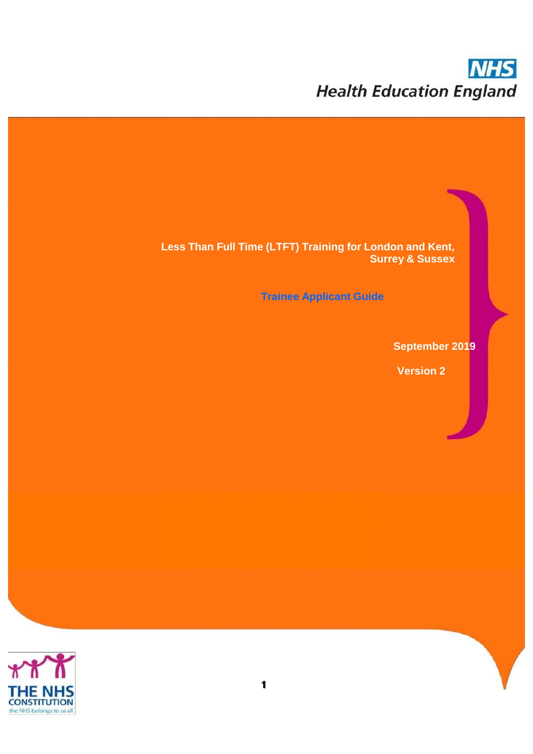# **NHS Health Education England**

**Less Than Full Time (LTFT) Training for London and Kent, Surrey & Sussex**

**Trainee Applicant Guide**

**September 2019**

**Version 2**

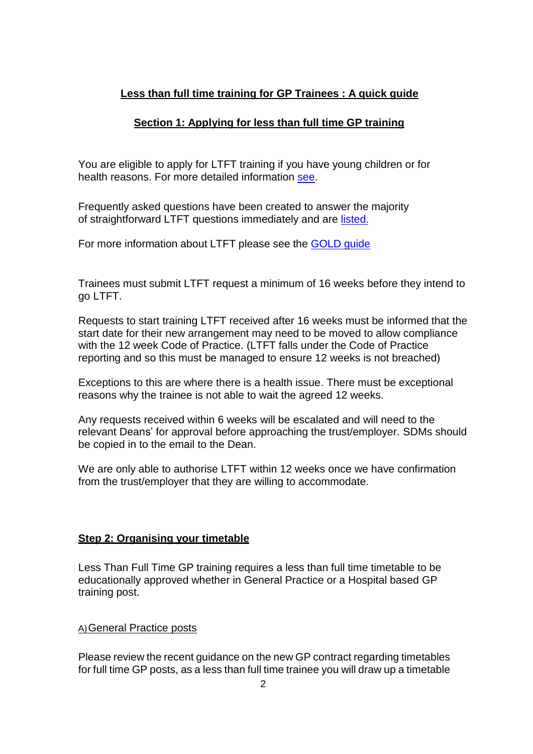# **Less than full time training for GP Trainees : A quick guide**

# **Section 1: Applying for less than full time GP training**

You are eligible to apply for LTFT training if you have young children or for health reasons. For more detailed information [see.](https://lasepgmdesupport.hee.nhs.uk/support/solutions/7000006974)

Frequently asked questions have been created to answer the majority of straightforward LTFT questions immediately and are [listed.](https://lasepgmdesupport.hee.nhs.uk/support/solutions/7000006974)

For more information about LTFT please see the [GOLD](https://www.nhsemployers.org/your-workforce/plan/medical-workforce/gold-guide-seventh-%20edition) guide

Trainees must submit LTFT request a minimum of 16 weeks before they intend to go LTFT.

Requests to start training LTFT received after 16 weeks must be informed that the start date for their new arrangement may need to be moved to allow compliance with the 12 week Code of Practice. (LTFT falls under the Code of Practice reporting and so this must be managed to ensure 12 weeks is not breached)

Exceptions to this are where there is a health issue. There must be exceptional reasons why the trainee is not able to wait the agreed 12 weeks.

Any requests received within 6 weeks will be escalated and will need to the relevant Deans' for approval before approaching the trust/employer. SDMs should be copied in to the email to the Dean.

We are only able to authorise LTFT within 12 weeks once we have confirmation from the trust/employer that they are willing to accommodate.

# **Step 2: Organising your timetable**

Less Than Full Time GP training requires a less than full time timetable to be educationally approved whether in General Practice or a Hospital based GP training post.

#### A)General Practice posts

Please review the recent guidance on the new GP contract regarding timetables for full time GP posts, as a less than full time trainee you will draw up a timetable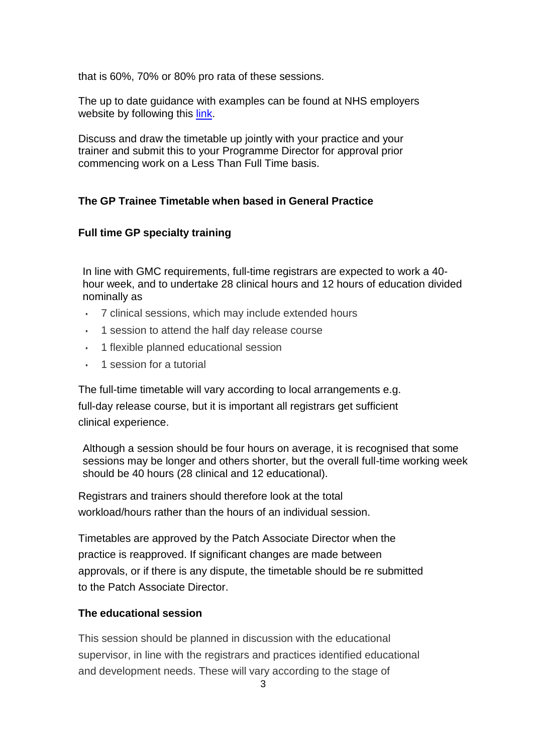that is 60%, 70% or 80% pro rata of these sessions.

The up to date guidance with examples can be found at NHS employers website by following this [link.](https://www.nhsemployers.org/pay-pensions-and-reward/medical-staff/doctors-and-dentists-in-training/terms-and-conditions-contracts/work-scheduling-templates-and-guidance)

Discuss and draw the timetable up jointly with your practice and your trainer and submit this to your Programme Director for approval prior commencing work on a Less Than Full Time basis.

#### **The GP Trainee Timetable when based in General Practice**

#### **Full time GP specialty training**

In line with GMC requirements, full-time registrars are expected to work a 40 hour week, and to undertake 28 clinical hours and 12 hours of education divided nominally as

- 7 clinical sessions, which may include extended hours
- 1 session to attend the half day release course
- 1 flexible planned educational session
- 1 session for a tutorial

The full-time timetable will vary according to local arrangements e.g. full-day release course, but it is important all registrars get sufficient clinical experience.

Although a session should be four hours on average, it is recognised that some sessions may be longer and others shorter, but the overall full-time working week should be 40 hours (28 clinical and 12 educational).

Registrars and trainers should therefore look at the total workload/hours rather than the hours of an individual session.

Timetables are approved by the Patch Associate Director when the practice is reapproved. If significant changes are made between approvals, or if there is any dispute, the timetable should be re submitted to the Patch Associate Director.

#### **The educational session**

This session should be planned in discussion with the educational supervisor, in line with the registrars and practices identified educational and development needs. These will vary according to the stage of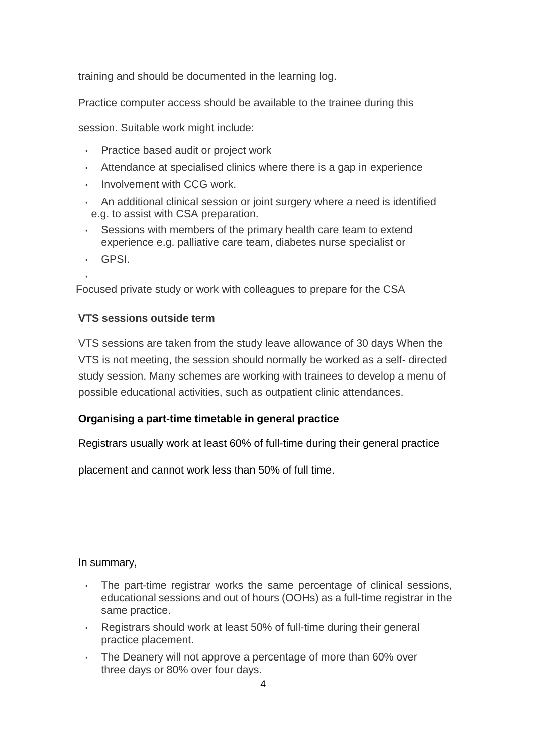training and should be documented in the learning log.

Practice computer access should be available to the trainee during this

session. Suitable work might include:

- Practice based audit or project work
- Attendance at specialised clinics where there is a gap in experience
- **· Involvement with CCG work.**
- **An additional clinical session or joint surgery where a need is identified** e.g. to assist with CSA preparation.
- Sessions with members of the primary health care team to extend experience e.g. palliative care team, diabetes nurse specialist or
- GPSI.

▪ Focused private study or work with colleagues to prepare for the CSA

#### **VTS sessions outside term**

VTS sessions are taken from the study leave allowance of 30 days When the VTS is not meeting, the session should normally be worked as a self- directed study session. Many schemes are working with trainees to develop a menu of possible educational activities, such as outpatient clinic attendances.

#### **Organising a part-time timetable in general practice**

Registrars usually work at least 60% of full-time during their general practice

placement and cannot work less than 50% of full time.

In summary,

- The part-time registrar works the same percentage of clinical sessions, educational sessions and out of hours (OOHs) as a full-time registrar in the same practice.
- Registrars should work at least 50% of full-time during their general practice placement.
- The Deanery will not approve a percentage of more than 60% over three days or 80% over four days.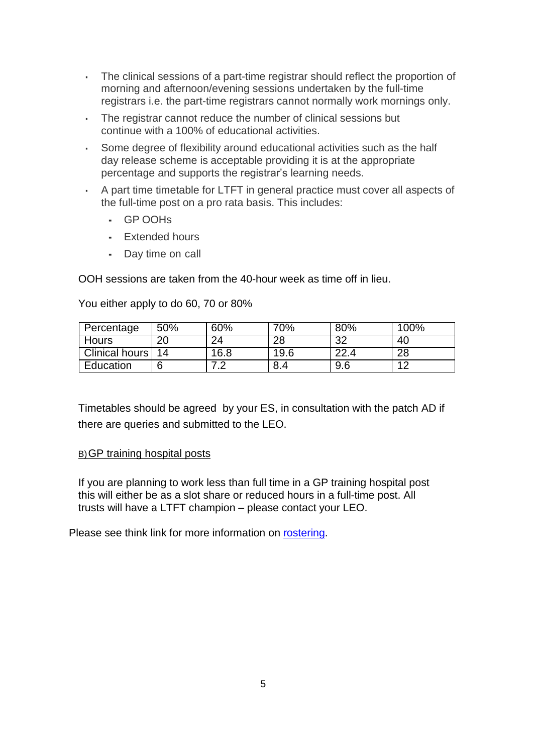- The clinical sessions of a part-time registrar should reflect the proportion of morning and afternoon/evening sessions undertaken by the full-time registrars i.e. the part-time registrars cannot normally work mornings only.
- The registrar cannot reduce the number of clinical sessions but continue with a 100% of educational activities.
- Some degree of flexibility around educational activities such as the half day release scheme is acceptable providing it is at the appropriate percentage and supports the registrar's learning needs.
- A part time timetable for LTFT in general practice must cover all aspects of the full-time post on a pro rata basis. This includes:
	- GP OOHs
	- Extended hours
	- Day time on call

You either apply to do 60, 70 or 80%

OOH sessions are taken from the 40-hour week as time off in lieu.

| Percentage     | 50% | 60%        | 70%  | 80% | 100%           |
|----------------|-----|------------|------|-----|----------------|
| <b>Hours</b>   | 20  | 24         | 28   | າາ  | 40             |
| Clinical hours | 14  | 16.8       | 19.6 | າາ  | 28             |
| Education      | 6   | $\epsilon$ | 8.4  | 9.6 | $\overline{4}$ |

Timetables should be agreed by your ES, in consultation with the patch AD if there are queries and submitted to the LEO.

#### B)GP training hospital posts

If you are planning to work less than full time in a GP training hospital post this will either be as a slot share or reduced hours in a full-time post. All trusts will have a LTFT champion – please contact your LEO.

Please see think link for more information on [rostering.](https://www.nhsemployers.org/case-studies-and-resources/2018/05/good-rostering-%20guide)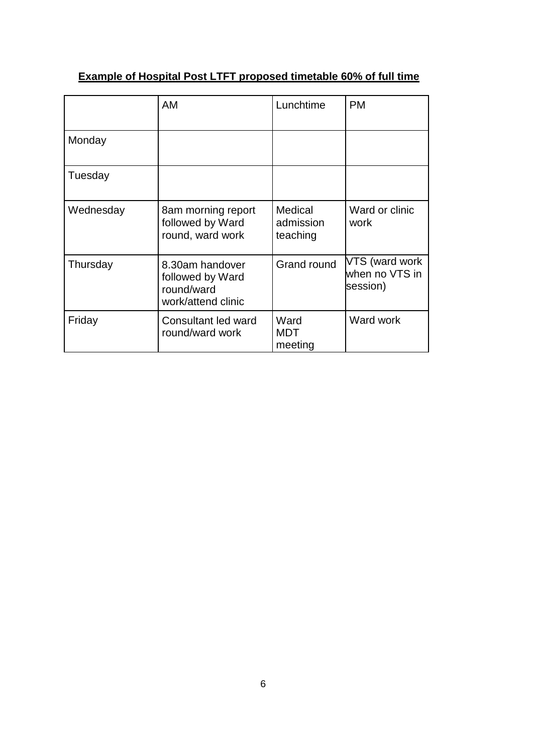|           | AM                                                                      | Lunchtime                        | <b>PM</b>                                    |
|-----------|-------------------------------------------------------------------------|----------------------------------|----------------------------------------------|
| Monday    |                                                                         |                                  |                                              |
| Tuesday   |                                                                         |                                  |                                              |
| Wednesday | 8am morning report<br>followed by Ward<br>round, ward work              | Medical<br>admission<br>teaching | Ward or clinic<br>work                       |
| Thursday  | 8.30am handover<br>followed by Ward<br>round/ward<br>work/attend clinic | Grand round                      | VTS (ward work<br>when no VTS in<br>session) |
| Friday    | Consultant led ward<br>round/ward work                                  | Ward<br>MDT<br>meeting           | Ward work                                    |

# **Example of Hospital Post LTFT proposed timetable 60% of full time**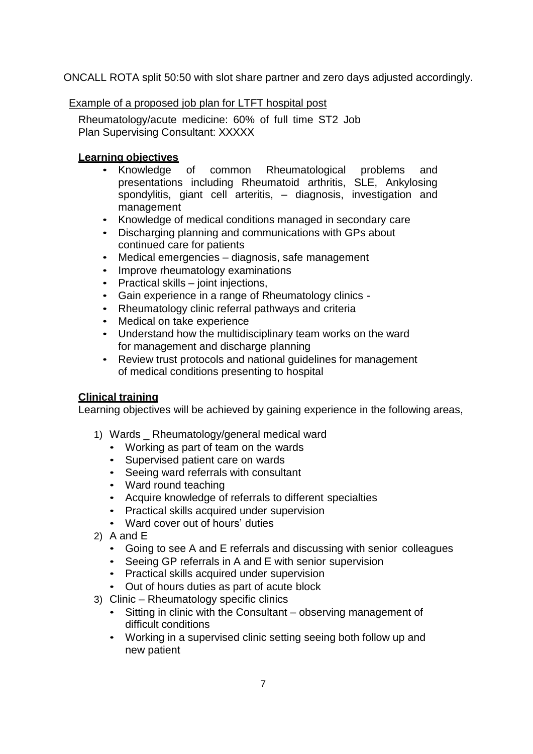ONCALL ROTA split 50:50 with slot share partner and zero days adjusted accordingly.

#### Example of a proposed job plan for LTFT hospital post

Rheumatology/acute medicine: 60% of full time ST2 Job Plan Supervising Consultant: XXXXX

#### **Learning objectives**

- Knowledge of common Rheumatological problems and presentations including Rheumatoid arthritis, SLE, Ankylosing spondylitis, giant cell arteritis, – diagnosis, investigation and management
- Knowledge of medical conditions managed in secondary care
- Discharging planning and communications with GPs about continued care for patients
- Medical emergencies diagnosis, safe management
- Improve rheumatology examinations
- Practical skills joint injections,
- Gain experience in a range of Rheumatology clinics -
- Rheumatology clinic referral pathways and criteria
- Medical on take experience
- Understand how the multidisciplinary team works on the ward for management and discharge planning
- Review trust protocols and national guidelines for management of medical conditions presenting to hospital

#### **Clinical training**

Learning objectives will be achieved by gaining experience in the following areas,

- 1) Wards \_ Rheumatology/general medical ward
	- Working as part of team on the wards
	- Supervised patient care on wards
	- Seeing ward referrals with consultant
	- Ward round teaching
	- Acquire knowledge of referrals to different specialties
	- Practical skills acquired under supervision
	- Ward cover out of hours' duties
- 2) A and E
	- Going to see A and E referrals and discussing with senior colleagues
	- Seeing GP referrals in A and E with senior supervision
	- Practical skills acquired under supervision
	- Out of hours duties as part of acute block
- 3) Clinic Rheumatology specific clinics
	- Sitting in clinic with the Consultant observing management of difficult conditions
	- Working in a supervised clinic setting seeing both follow up and new patient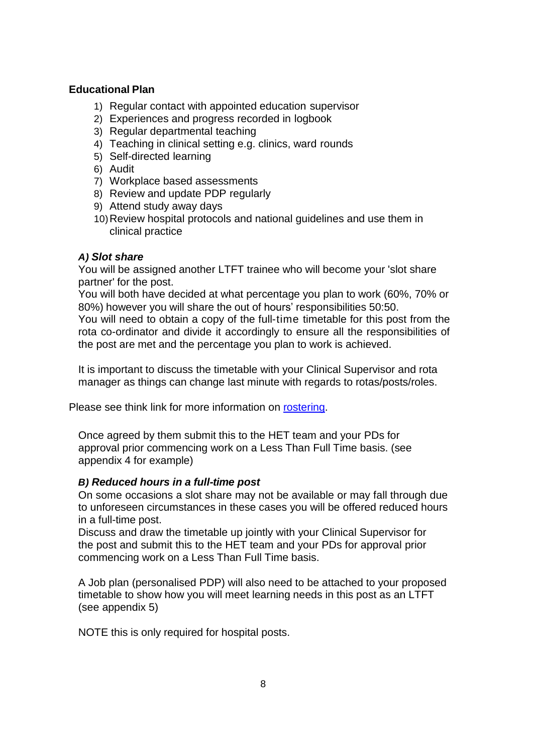#### **Educational Plan**

- 1) Regular contact with appointed education supervisor
- 2) Experiences and progress recorded in logbook
- 3) Regular departmental teaching
- 4) Teaching in clinical setting e.g. clinics, ward rounds
- 5) Self-directed learning
- 6) Audit
- 7) Workplace based assessments
- 8) Review and update PDP regularly
- 9) Attend study away days
- 10)Review hospital protocols and national guidelines and use them in clinical practice

#### *A) Slot share*

You will be assigned another LTFT trainee who will become your 'slot share partner' for the post.

You will both have decided at what percentage you plan to work (60%, 70% or 80%) however you will share the out of hours' responsibilities 50:50.

You will need to obtain a copy of the full-time timetable for this post from the rota co-ordinator and divide it accordingly to ensure all the responsibilities of the post are met and the percentage you plan to work is achieved.

It is important to discuss the timetable with your Clinical Supervisor and rota manager as things can change last minute with regards to rotas/posts/roles.

Please see think link for more information on [rostering.](https://www.nhsemployers.org/case-studies-and-resources/2018/05/good-rostering-%20guide)

Once agreed by them submit this to the HET team and your PDs for approval prior commencing work on a Less Than Full Time basis. (see appendix 4 for example)

# *B) Reduced hours in a full-time post*

On some occasions a slot share may not be available or may fall through due to unforeseen circumstances in these cases you will be offered reduced hours in a full-time post.

Discuss and draw the timetable up jointly with your Clinical Supervisor for the post and submit this to the HET team and your PDs for approval prior commencing work on a Less Than Full Time basis.

A Job plan (personalised PDP) will also need to be attached to your proposed timetable to show how you will meet learning needs in this post as an LTFT (see appendix 5)

NOTE this is only required for hospital posts.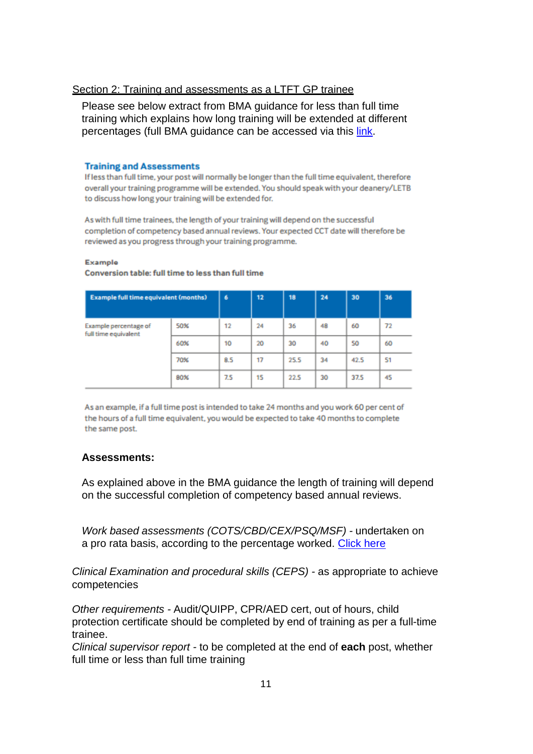#### Section 2: Training and assessments as a LTFT GP trainee

Please see below extract from BMA guidance for less than full time training which explains how long training will be extended at different percentages (full BMA guidance can be accessed via this [link.](https://www.bma.org.uk/advice/career/applying-for-training/flexible-training)

#### **Training and Assessments**

If less than full time, your post will normally be longer than the full time equivalent, therefore overall your training programme will be extended. You should speak with your deanery/LETB to discuss how long your training will be extended for.

As with full time trainees, the length of your training will depend on the successful completion of competency based annual reviews. Your expected CCT date will therefore be reviewed as you progress through your training programme.

Example

| <b>Example full time equivalent (months)</b>  |     | 6   | 12 | 18   | 24 | 30   | 36 |
|-----------------------------------------------|-----|-----|----|------|----|------|----|
| Example percentage of<br>full time equivalent | 50% | 12  | 24 | 36   | 48 | 60   | 72 |
|                                               | 60% | 10  | 20 | 30   | 40 | 50   | 60 |
|                                               | 70% | 8.5 | 17 | 25.5 | 34 | 42.5 | 51 |
|                                               | 80% | 7.5 | 15 | 22.5 | 30 | 37.5 | 45 |

#### Conversion table: full time to less than full time

As an example, if a full time post is intended to take 24 months and you work 60 per cent of the hours of a full time equivalent, you would be expected to take 40 months to complete the same post.

#### **Assessments:**

As explained above in the BMA guidance the length of training will depend on the successful completion of competency based annual reviews.

*Work based assessments (COTS/CBD/CEX/PSQ/MSF) -* undertaken on a pro rata basis, according to the percentage worked. [Click here](https://www.rcgp.org.uk/training-exams/training/mrcgp-workplace-based-assessment-%20wpba/wpba-competence-framework.aspx)

*Clinical Examination and procedural skills (CEPS) -* as appropriate to achieve competencies

*Other requirements -* Audit/QUIPP, CPR/AED cert, out of hours, child protection certificate should be completed by end of training as per a full-time trainee.

*Clinical supervisor report -* to be completed at the end of **each** post, whether full time or less than full time training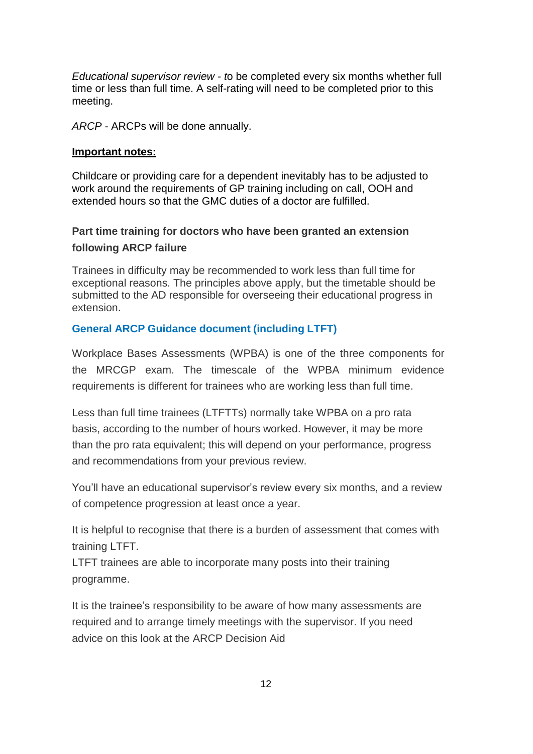*Educational supervisor review - t*o be completed every six months whether full time or less than full time. A self-rating will need to be completed prior to this meeting.

*ARCP -* ARCPs will be done annually.

#### **Important notes:**

Childcare or providing care for a dependent inevitably has to be adjusted to work around the requirements of GP training including on call, OOH and extended hours so that the GMC duties of a doctor are fulfilled.

# **Part time training for doctors who have been granted an extension following ARCP failure**

Trainees in difficulty may be recommended to work less than full time for exceptional reasons. The principles above apply, but the timetable should be submitted to the AD responsible for overseeing their educational progress in extension.

#### **General ARCP Guidance document (including LTFT)**

Workplace Bases Assessments (WPBA) is one of the three components for the MRCGP exam. The timescale of the WPBA minimum evidence requirements is different for trainees who are working less than full time.

Less than full time trainees (LTFTTs) normally take WPBA on a pro rata basis, according to the number of hours worked. However, it may be more than the pro rata equivalent; this will depend on your performance, progress and recommendations from your previous review.

You'll have an educational supervisor's review every six months, and a review of competence progression at least once a year.

It is helpful to recognise that there is a burden of assessment that comes with training LTFT.

LTFT trainees are able to incorporate many posts into their training programme.

It is the trainee's responsibility to be aware of how many assessments are required and to arrange timely meetings with the supervisor. If you need advice on this look at the ARCP Decision Aid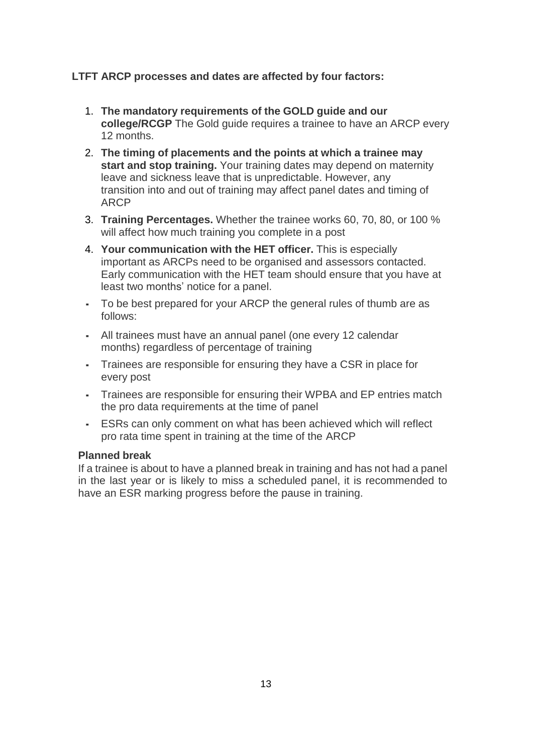# **LTFT ARCP processes and dates are affected by four factors:**

- 1. **The mandatory requirements of the GOLD guide and our college/RCGP** The Gold guide requires a trainee to have an ARCP every 12 months.
- 2. **The timing of placements and the points at which a trainee may start and stop training.** Your training dates may depend on maternity leave and sickness leave that is unpredictable. However, any transition into and out of training may affect panel dates and timing of ARCP
- 3. **Training Percentages.** Whether the trainee works 60, 70, 80, or 100 % will affect how much training you complete in a post
- 4. **Your communication with the HET officer.** This is especially important as ARCPs need to be organised and assessors contacted. Early communication with the HET team should ensure that you have at least two months' notice for a panel.
- To be best prepared for your ARCP the general rules of thumb are as follows:
- All trainees must have an annual panel (one every 12 calendar months) regardless of percentage of training
- Trainees are responsible for ensuring they have a CSR in place for every post
- Trainees are responsible for ensuring their WPBA and EP entries match the pro data requirements at the time of panel
- **ESRs can only comment on what has been achieved which will reflect** pro rata time spent in training at the time of the ARCP

#### **Planned break**

If a trainee is about to have a planned break in training and has not had a panel in the last year or is likely to miss a scheduled panel, it is recommended to have an ESR marking progress before the pause in training.